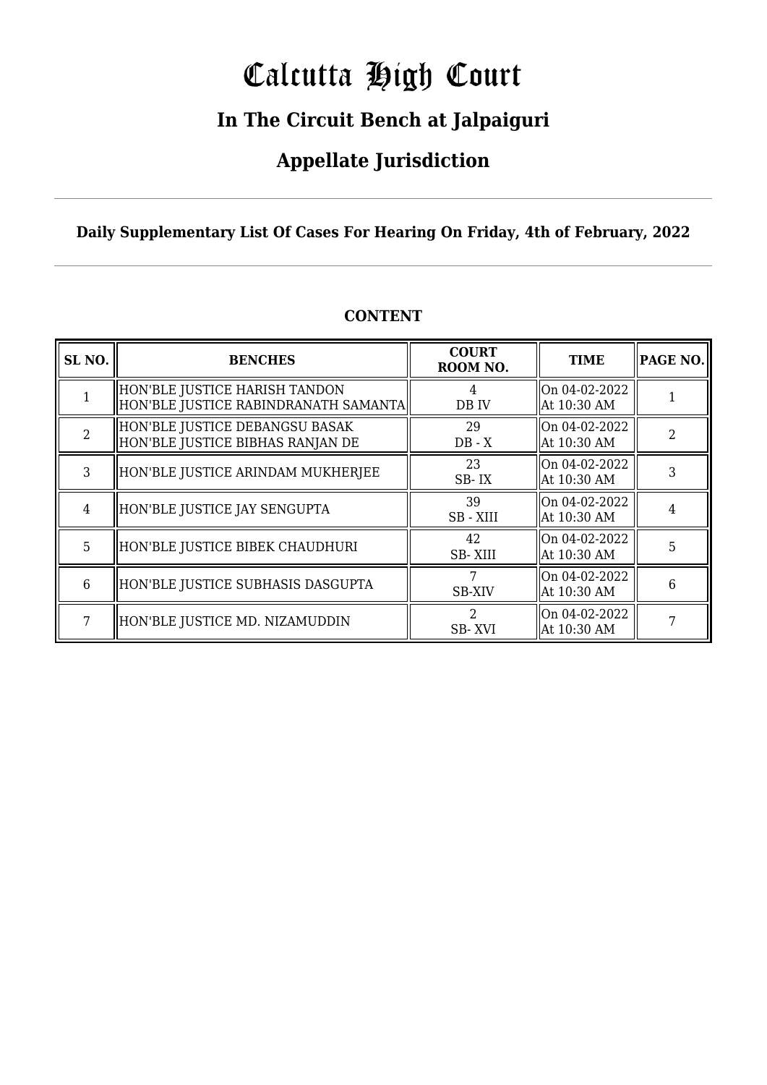# Calcutta High Court

### **In The Circuit Bench at Jalpaiguri**

### **Appellate Jurisdiction**

#### **Daily Supplementary List Of Cases For Hearing On Friday, 4th of February, 2022**

| SL <sub>NO.</sub> | <b>BENCHES</b>                                                          | <b>COURT</b><br>ROOM NO. | <b>TIME</b>                  | <b>PAGE NO.</b> |
|-------------------|-------------------------------------------------------------------------|--------------------------|------------------------------|-----------------|
|                   | HON'BLE JUSTICE HARISH TANDON<br>  HON'BLE JUSTICE RABINDRANATH SAMANTA | 4<br>DB IV               | On 04-02-2022<br>At 10:30 AM |                 |
| $\mathfrak{D}$    | HON'BLE JUSTICE DEBANGSU BASAK<br>HON'BLE JUSTICE BIBHAS RANJAN DE      | 29<br>$DB - X$           | On 04-02-2022<br>At 10:30 AM |                 |
| 3                 | HON'BLE JUSTICE ARINDAM MUKHERJEE                                       | 23<br>SB-IX              | On 04-02-2022<br>At 10:30 AM |                 |
| 4                 | HON'BLE JUSTICE JAY SENGUPTA                                            | 39<br>SB - XIII          | On 04-02-2022<br>At 10:30 AM |                 |
| 5                 | HON'BLE JUSTICE BIBEK CHAUDHURI                                         | 42<br>SB-XIII            | On 04-02-2022<br>At 10:30 AM | 5               |
| 6                 | HON'BLE JUSTICE SUBHASIS DASGUPTA                                       | <b>SB-XIV</b>            | On 04-02-2022<br>At 10:30 AM | 6               |
| 7                 | HON'BLE JUSTICE MD. NIZAMUDDIN                                          | SB-XVI                   | On 04-02-2022<br>At 10:30 AM |                 |

#### **CONTENT**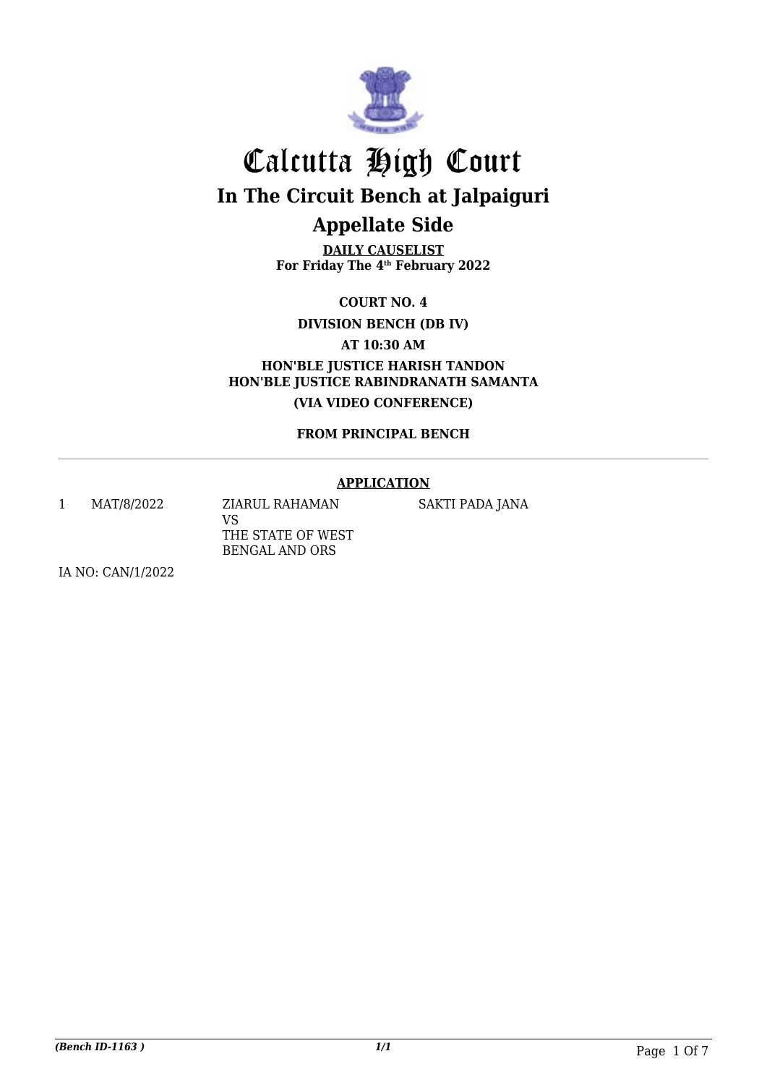

**DAILY CAUSELIST For Friday The 4th February 2022**

**COURT NO. 4**

**DIVISION BENCH (DB IV)**

**AT 10:30 AM**

**HON'BLE JUSTICE HARISH TANDON HON'BLE JUSTICE RABINDRANATH SAMANTA (VIA VIDEO CONFERENCE)**

**FROM PRINCIPAL BENCH**

#### **APPLICATION**

1 MAT/8/2022 ZIARUL RAHAMAN

VS THE STATE OF WEST BENGAL AND ORS

SAKTI PADA JANA

IA NO: CAN/1/2022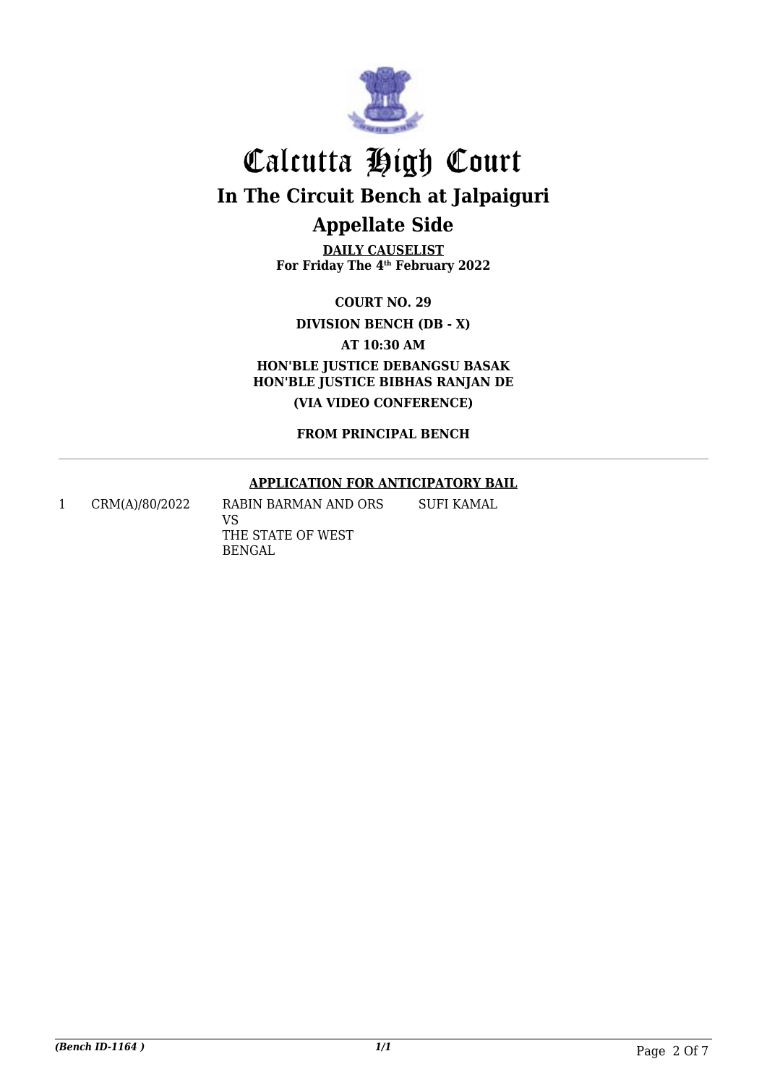

**DAILY CAUSELIST For Friday The 4th February 2022**

**COURT NO. 29**

**DIVISION BENCH (DB - X)**

**AT 10:30 AM**

**HON'BLE JUSTICE DEBANGSU BASAK HON'BLE JUSTICE BIBHAS RANJAN DE (VIA VIDEO CONFERENCE)**

**FROM PRINCIPAL BENCH**

#### **APPLICATION FOR ANTICIPATORY BAIL**

1 CRM(A)/80/2022 RABIN BARMAN AND ORS

VS THE STATE OF WEST BENGAL SUFI KAMAL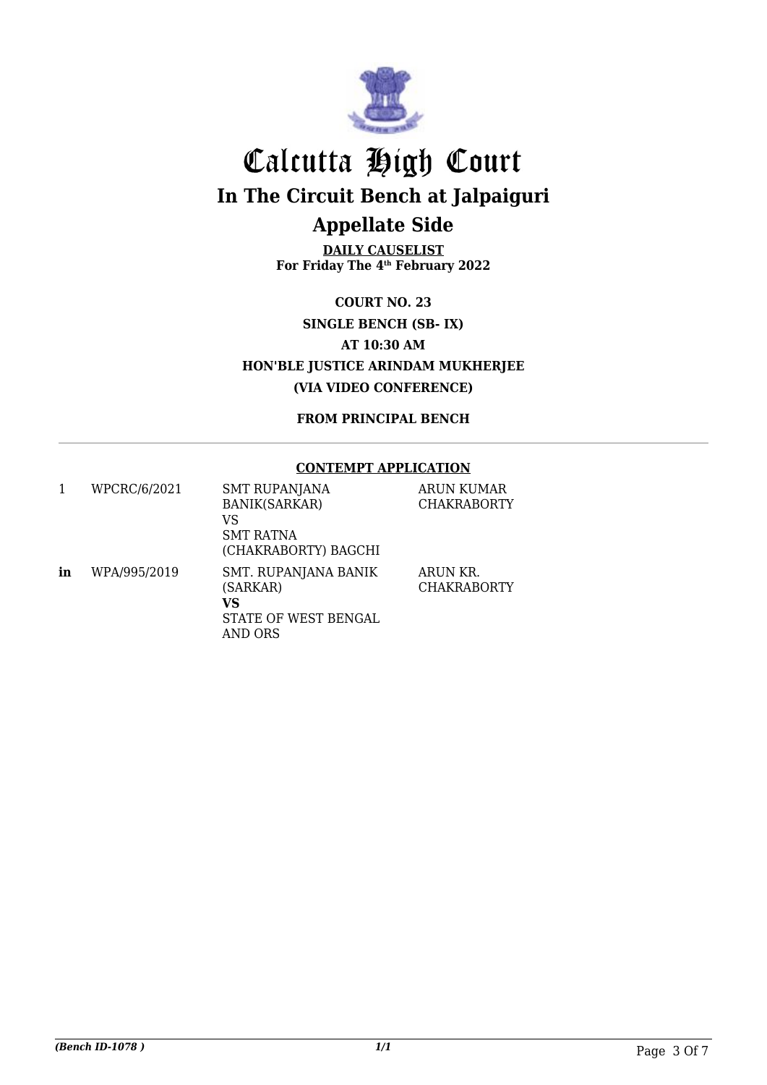

**DAILY CAUSELIST For Friday The 4th February 2022**

**COURT NO. 23 SINGLE BENCH (SB- IX) AT 10:30 AM HON'BLE JUSTICE ARINDAM MUKHERJEE (VIA VIDEO CONFERENCE)**

**FROM PRINCIPAL BENCH**

#### **CONTEMPT APPLICATION**

| 1  | WPCRC/6/2021 | <b>SMT RUPANJANA</b><br><b>BANIK(SARKAR)</b><br>VS<br><b>SMT RATNA</b><br>(CHAKRABORTY) BAGCHI | ARUN KUMAR<br><b>CHAKRABORTY</b> |
|----|--------------|------------------------------------------------------------------------------------------------|----------------------------------|
| in | WPA/995/2019 | SMT. RUPANJANA BANIK<br>(SARKAR)<br>VS<br>STATE OF WEST BENGAL<br>AND ORS                      | ARUN KR.<br><b>CHAKRABORTY</b>   |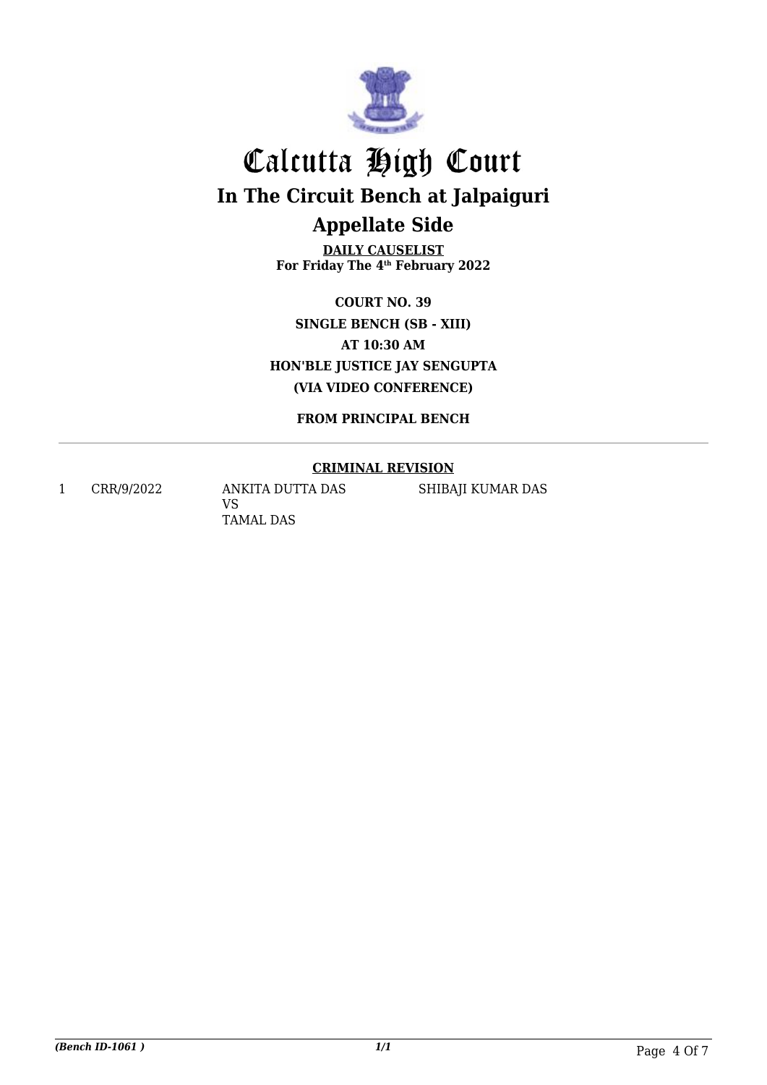

**DAILY CAUSELIST For Friday The 4th February 2022**

**COURT NO. 39 SINGLE BENCH (SB - XIII) AT 10:30 AM HON'BLE JUSTICE JAY SENGUPTA (VIA VIDEO CONFERENCE)**

**FROM PRINCIPAL BENCH**

#### **CRIMINAL REVISION**

1 CRR/9/2022 ANKITA DUTTA DAS VS TAMAL DAS

SHIBAJI KUMAR DAS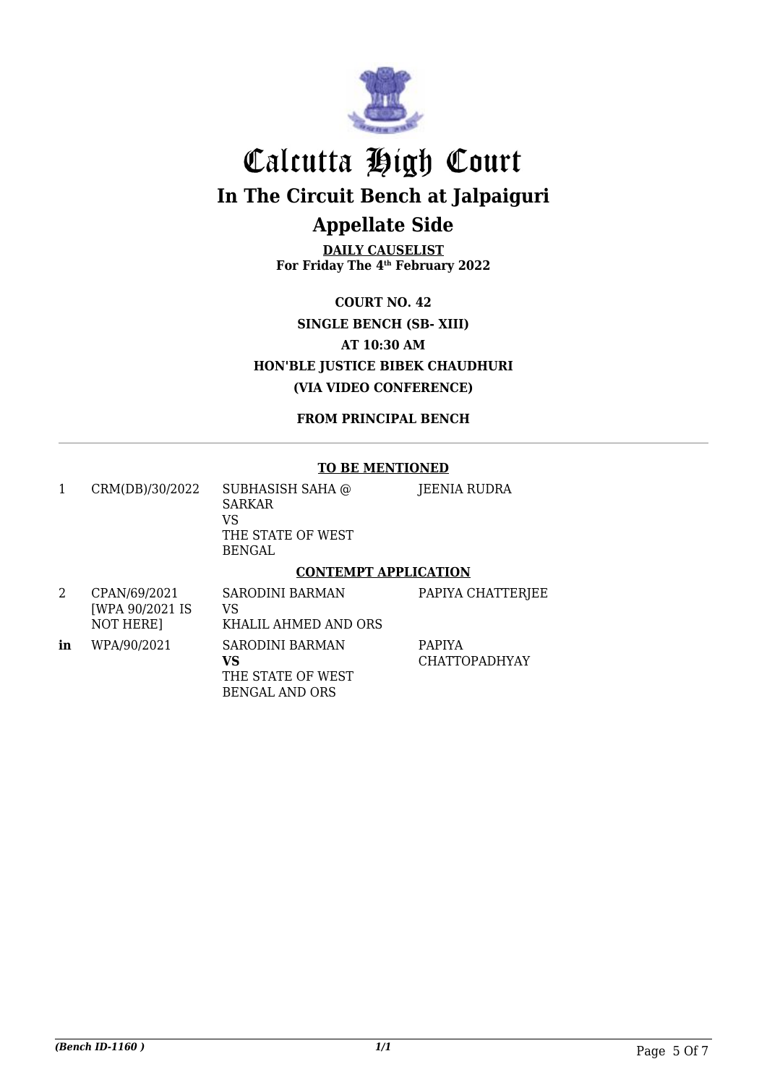

**DAILY CAUSELIST For Friday The 4th February 2022**

**COURT NO. 42 SINGLE BENCH (SB- XIII) AT 10:30 AM HON'BLE JUSTICE BIBEK CHAUDHURI (VIA VIDEO CONFERENCE)**

**FROM PRINCIPAL BENCH**

#### **TO BE MENTIONED**

| CRM(DB)/30/2022 | SUBHASISH SAHA @<br>SARKAR<br>VS<br>THE STATE OF WEST<br>BENGAL | JEENIA RUDRA |  |
|-----------------|-----------------------------------------------------------------|--------------|--|
|                 | <b>CONTEMPT APPLICATION</b>                                     |              |  |

|    | CPAN/69/2021<br>[WPA 90/2021 IS]<br>NOT HERE] | <b>SARODINI BARMAN</b><br>VS<br>KHALIL AHMED AND ORS                | PAPIYA CHATTERJEE                     |
|----|-----------------------------------------------|---------------------------------------------------------------------|---------------------------------------|
| in | WPA/90/2021                                   | SARODINI BARMAN<br>vs<br>THE STATE OF WEST<br><b>BENGAL AND ORS</b> | <b>PAPIYA</b><br><b>CHATTOPADHYAY</b> |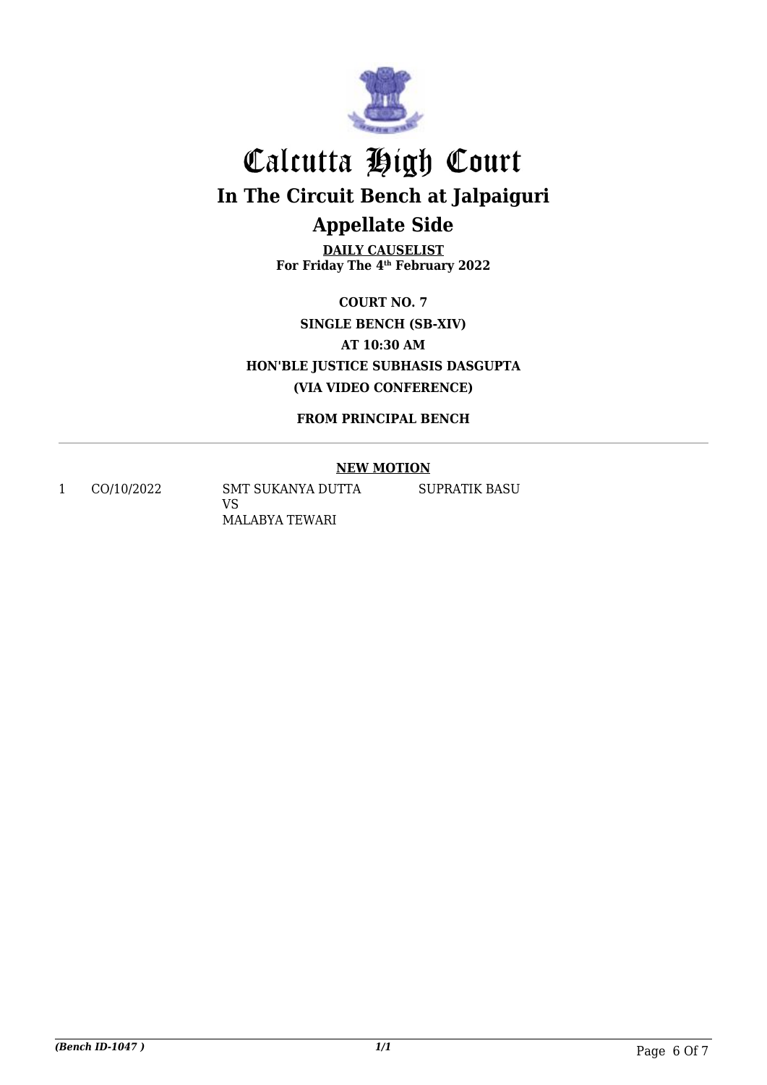

**DAILY CAUSELIST For Friday The 4th February 2022**

**COURT NO. 7 SINGLE BENCH (SB-XIV) AT 10:30 AM HON'BLE JUSTICE SUBHASIS DASGUPTA (VIA VIDEO CONFERENCE)**

**FROM PRINCIPAL BENCH**

#### **NEW MOTION**

1 CO/10/2022 SMT SUKANYA DUTTA VS MALABYA TEWARI

SUPRATIK BASU